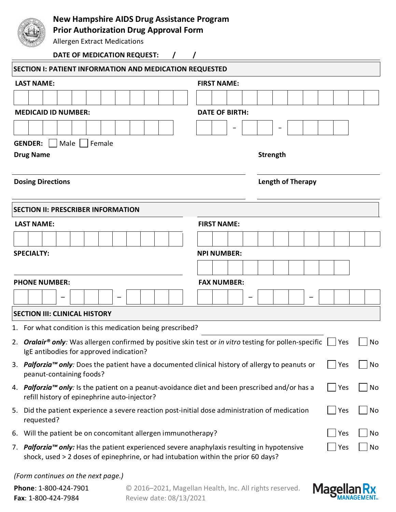

# **New Hampshire AIDS Drug Assistance Program**

**Prior Authorization Drug Approval Form**

Allergen Extract Medications

### **DATE OF MEDICATION REQUEST: / /**

| <b>SECTION I: PATIENT INFORMATION AND MEDICATION REQUESTED</b>                                                                                                                                |                          |  |  |  |  |  |  |  |  |  |  |  |
|-----------------------------------------------------------------------------------------------------------------------------------------------------------------------------------------------|--------------------------|--|--|--|--|--|--|--|--|--|--|--|
| <b>LAST NAME:</b>                                                                                                                                                                             | <b>FIRST NAME:</b>       |  |  |  |  |  |  |  |  |  |  |  |
|                                                                                                                                                                                               |                          |  |  |  |  |  |  |  |  |  |  |  |
| <b>MEDICAID ID NUMBER:</b>                                                                                                                                                                    | <b>DATE OF BIRTH:</b>    |  |  |  |  |  |  |  |  |  |  |  |
|                                                                                                                                                                                               |                          |  |  |  |  |  |  |  |  |  |  |  |
| <b>GENDER:</b><br>Male<br>Female                                                                                                                                                              |                          |  |  |  |  |  |  |  |  |  |  |  |
| <b>Drug Name</b>                                                                                                                                                                              | Strength                 |  |  |  |  |  |  |  |  |  |  |  |
| <b>Dosing Directions</b>                                                                                                                                                                      | <b>Length of Therapy</b> |  |  |  |  |  |  |  |  |  |  |  |
| <b>SECTION II: PRESCRIBER INFORMATION</b>                                                                                                                                                     |                          |  |  |  |  |  |  |  |  |  |  |  |
| <b>LAST NAME:</b>                                                                                                                                                                             | <b>FIRST NAME:</b>       |  |  |  |  |  |  |  |  |  |  |  |
|                                                                                                                                                                                               |                          |  |  |  |  |  |  |  |  |  |  |  |
| <b>SPECIALTY:</b><br><b>NPI NUMBER:</b>                                                                                                                                                       |                          |  |  |  |  |  |  |  |  |  |  |  |
|                                                                                                                                                                                               |                          |  |  |  |  |  |  |  |  |  |  |  |
| <b>PHONE NUMBER:</b>                                                                                                                                                                          | <b>FAX NUMBER:</b>       |  |  |  |  |  |  |  |  |  |  |  |
|                                                                                                                                                                                               |                          |  |  |  |  |  |  |  |  |  |  |  |
| <b>SECTION III: CLINICAL HISTORY</b>                                                                                                                                                          |                          |  |  |  |  |  |  |  |  |  |  |  |
| 1. For what condition is this medication being prescribed?                                                                                                                                    |                          |  |  |  |  |  |  |  |  |  |  |  |
| 2. <b>Oralair® only</b> : Was allergen confirmed by positive skin test or in vitro testing for pollen-specific<br>IgE antibodies for approved indication?                                     | No<br>  Yes              |  |  |  |  |  |  |  |  |  |  |  |
| 3. Palforzia™ only: Does the patient have a documented clinical history of allergy to peanuts or<br>Yes<br>No<br>peanut-containing foods?                                                     |                          |  |  |  |  |  |  |  |  |  |  |  |
| 4. Palforzia™ only: Is the patient on a peanut-avoidance diet and been prescribed and/or has a<br>  Yes<br>No<br>refill history of epinephrine auto-injector?                                 |                          |  |  |  |  |  |  |  |  |  |  |  |
| Yes<br>5. Did the patient experience a severe reaction post-initial dose administration of medication<br>requested?                                                                           |                          |  |  |  |  |  |  |  |  |  |  |  |
| 6. Will the patient be on concomitant allergen immunotherapy?<br>Yes<br>No                                                                                                                    |                          |  |  |  |  |  |  |  |  |  |  |  |
| 7. Palforzia™ only: Has the patient experienced severe anaphylaxis resulting in hypotensive<br>Yes<br>No<br>shock, used > 2 doses of epinephrine, or had intubation within the prior 60 days? |                          |  |  |  |  |  |  |  |  |  |  |  |

### *(Form continues on the next page.)*

| Phone: 1-800-424-7901       | © 2016–2021, Magellan Health, Inc. All rights reserved. |
|-----------------------------|---------------------------------------------------------|
| <b>Fax</b> : 1-800-424-7984 | Review date: 08/13/2021                                 |